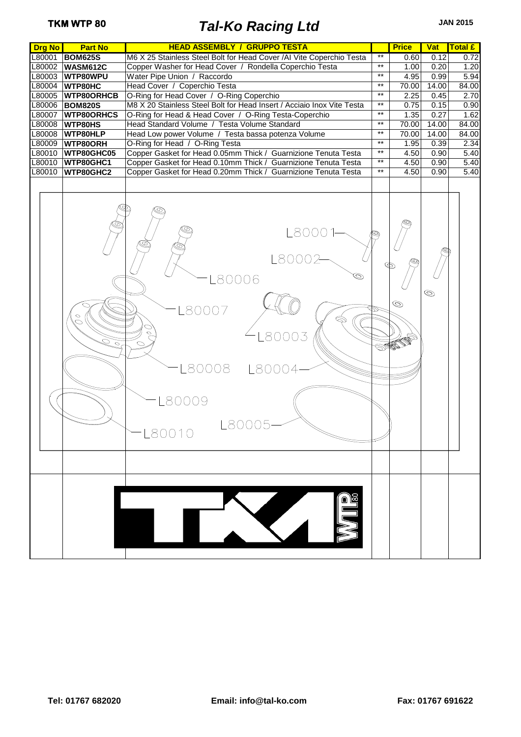| <b>Drg No</b><br><b>Part No</b> | <b>HEAD ASSEMBLY / GRUPPO TESTA</b>                                                        |                 | <b>Price</b>   | <b>Vat</b> | <b>Total £</b> |
|---------------------------------|--------------------------------------------------------------------------------------------|-----------------|----------------|------------|----------------|
| L80001<br><b>BOM625S</b>        | M6 X 25 Stainless Steel Bolt for Head Cover /AI Vite Coperchio Testa                       | **              | 0.60           | 0.12       | 0.72           |
| WASM612C<br>L80002              | Copper Washer for Head Cover / Rondella Coperchio Testa                                    | $**$            | 1.00           | 0.20       | 1.20           |
| L80003<br>WTP80WPU              | Water Pipe Union / Raccordo                                                                | $^{\star\star}$ | 4.95           | 0.99       | 5.94           |
| L80004<br>WTP80HC               | Head Cover / Coperchio Testa                                                               | $^{\star\star}$ | 70.00          | 14.00      | 84.00          |
| L80005<br><b>WTP80ORHCB</b>     | O-Ring for Head Cover / O-Ring Coperchio                                                   | $^{\star\star}$ | 2.25           | 0.45       | 2.70           |
| L80006<br><b>BOM820S</b>        | M8 X 20 Stainless Steel Bolt for Head Insert / Acciaio Inox Vite Testa                     | $***$           | 0.75           | 0.15       | 0.90           |
| L80007<br><b>WTP80ORHCS</b>     | O-Ring for Head & Head Cover / O-Ring Testa-Coperchio                                      | $***$           | 1.35           | 0.27       | 1.62           |
| L80008<br>WTP80HS               | Head Standard Volume / Testa Volume Standard                                               | $***$           | 70.00          | 14.00      | 84.00          |
| L80008<br>WTP80HLP              | Head Low power Volume / Testa bassa potenza Volume                                         | $^{\star\star}$ | 70.00          | 14.00      | 84.00          |
| L80009<br>WTP80ORH              | O-Ring for Head / O-Ring Testa                                                             | $^{\star\star}$ | 1.95           | 0.39       | 2.34           |
| L80010<br>WTP80GHC05            | Copper Gasket for Head 0.05mm Thick / Guarnizione Tenuta Testa                             | $***$           | 4.50           | 0.90       | 5.40           |
| WTP80GHC1<br>L80010             | Copper Gasket for Head 0.10mm Thick / Guarnizione Tenuta Testa                             | $***$           | 4.50           | 0.90       | 5.40           |
| L80010<br>WTP80GHC2             | Copper Gasket for Head 0.20mm Thick / Guarnizione Tenuta Testa                             | $^{\star\star}$ | 4.50           | 0.90       | 5.40           |
|                                 |                                                                                            |                 |                |            |                |
| ○                               | L8000<br>L80002<br>.80006<br>80007<br>80003<br>80008<br>L8000<br>80009<br>L80005<br>L80010 |                 | $\circledcirc$ | Ô          |                |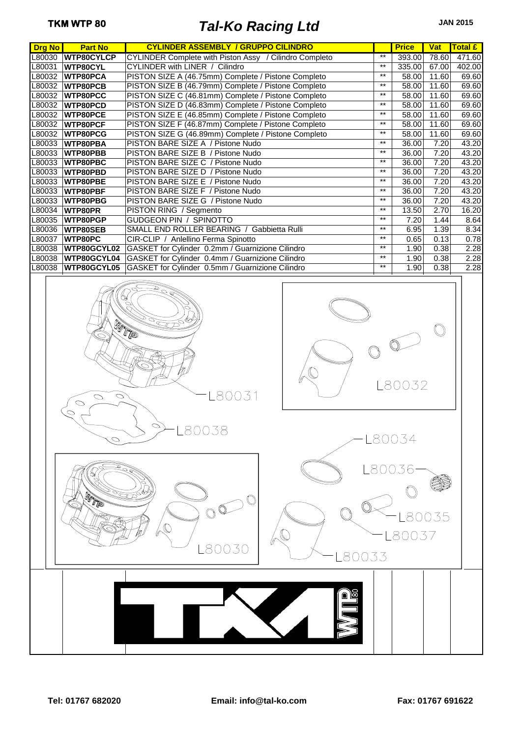| <b>Drg No</b>    | <b>Part No</b>                     | <b>CYLINDER ASSEMBLY / GRUPPO CILINDRO</b>             |                          | <b>Price</b>                                                                                                                                                                                                                                           | Vat            | Total £ |
|------------------|------------------------------------|--------------------------------------------------------|--------------------------|--------------------------------------------------------------------------------------------------------------------------------------------------------------------------------------------------------------------------------------------------------|----------------|---------|
| L80030           | <b>WTP80CYLCP</b>                  | CYLINDER Complete with Piston Assy / Cilindro Completo | **                       | 393.00                                                                                                                                                                                                                                                 | 78.60          | 471.60  |
| L80031           | WTP80CYL                           | CYLINDER with LINER / Cilindro                         | $***$                    | 335.00                                                                                                                                                                                                                                                 | 67.00          | 402.00  |
| L80032           | <b>WTP80PCA</b>                    | PISTON SIZE A (46.75mm) Complete / Pistone Completo    | $^{\star\star}$          | 58.00                                                                                                                                                                                                                                                  | 11.60          | 69.60   |
| L80032           | <b>WTP80PCB</b>                    | PISTON SIZE B (46.79mm) Complete / Pistone Completo    | $***$                    | 58.00                                                                                                                                                                                                                                                  | 11.60          | 69.60   |
| L80032           |                                    | PISTON SIZE C (46.81mm) Complete / Pistone Completo    | $***$                    |                                                                                                                                                                                                                                                        |                | 69.60   |
|                  | <b>WTP80PCC</b>                    | PISTON SIZE D (46.83mm) Complete / Pistone Completo    | $***$                    | 58.00<br>58.00                                                                                                                                                                                                                                         | 11.60          | 69.60   |
| L80032<br>L80032 | WTP80PCD<br>WTP80PCE               | PISTON SIZE E (46.85mm) Complete / Pistone Completo    | $***$                    | 58.00                                                                                                                                                                                                                                                  | 11.60<br>11.60 | 69.60   |
| L80032           | WTP80PCF                           | PISTON SIZE F (46.87mm) Complete / Pistone Completo    | $***$                    | 58.00                                                                                                                                                                                                                                                  | 11.60          | 69.60   |
|                  | L80032 WTP80PCG                    | PISTON SIZE G (46.89mm) Complete / Pistone Completo    | $***$                    | 58.00                                                                                                                                                                                                                                                  | 11.60          | 69.60   |
| L80033           | <b>WTP80PBA</b>                    | PISTON BARE SIZE A / Pistone Nudo                      | $***$                    | 36.00                                                                                                                                                                                                                                                  | 7.20           | 43.20   |
| L80033           | WTP80PBB                           | PISTON BARE SIZE B / Pistone Nudo                      | $***$                    | 36.00                                                                                                                                                                                                                                                  | 7.20           | 43.20   |
|                  |                                    |                                                        | $***$                    |                                                                                                                                                                                                                                                        |                |         |
| L80033           | WTP80PBC                           | PISTON BARE SIZE C / Pistone Nudo                      | $***$                    | 36.00                                                                                                                                                                                                                                                  | 7.20           | 43.20   |
| L80033           | WTP80PBD                           | PISTON BARE SIZE D / Pistone Nudo                      | $^{\star\star}$          | 36.00                                                                                                                                                                                                                                                  | 7.20           | 43.20   |
| L80033           | WTP80PBE                           | PISTON BARE SIZE E / Pistone Nudo                      |                          | 36.00                                                                                                                                                                                                                                                  | 7.20           | 43.20   |
| L80033           | WTP80PBF                           | PISTON BARE SIZE F / Pistone Nudo                      | $***$                    | 36.00                                                                                                                                                                                                                                                  | 7.20           | 43.20   |
| L80033           | WTP80PBG                           | PISTON BARE SIZE G / Pistone Nudo                      | $***$<br>$^{\star\star}$ | 36.00                                                                                                                                                                                                                                                  | 7.20           | 43.20   |
| L80034           | WTP80PR                            | PISTON RING / Segmento                                 | $***$                    | 13.50                                                                                                                                                                                                                                                  | 2.70           | 16.20   |
| L80035           | WTP80PGP                           | GUDGEON PIN / SPINOTTO                                 |                          | 7.20                                                                                                                                                                                                                                                   | 1.44           | 8.64    |
| L80036           | <b>WTP80SEB</b>                    | SMALL END ROLLER BEARING / Gabbietta Rulli             | $***$<br>$***$           | 6.95                                                                                                                                                                                                                                                   | 1.39           | 8.34    |
| L80037           | WTP80PC                            | CIR-CLIP / Anlellino Ferma Spinotto                    |                          | 0.65                                                                                                                                                                                                                                                   | 0.13           | 0.78    |
| L80038           | WTP80GCYL02                        | GASKET for Cylinder 0.2mm / Guarnizione Cilindro       | $***$                    | 1.90                                                                                                                                                                                                                                                   | 0.38           | 2.28    |
| L80038           | WTP80GCYL04                        | GASKET for Cylinder 0.4mm / Guarnizione Cilindro       | $^{\star\star}$          | 1.90                                                                                                                                                                                                                                                   | 0.38           | 2.28    |
| L80038           | WTP80GCYL05                        | GASKET for Cylinder 0.5mm / Guarnizione Cilindro       | $***$                    | 1.90                                                                                                                                                                                                                                                   | 0.38           | 2.28    |
|                  | $\circ$<br>O<br>$\circ$<br>$\circ$ | <b>BUTTER</b><br>80031<br>80038                        |                          | in 1990.<br>Se provincia de la provincia de la provincia de la provincia de la provincia de la provincia de la provincia<br>Se provincia de la provincia de la provincia de la provincia de la provincia de la provincia de la provi<br>80032<br>80034 |                |         |
|                  | $\approx$<br>WIE                   | OQ<br>$\mathbb{C}$                                     |                          | 80036<br>80<br>80037                                                                                                                                                                                                                                   |                |         |

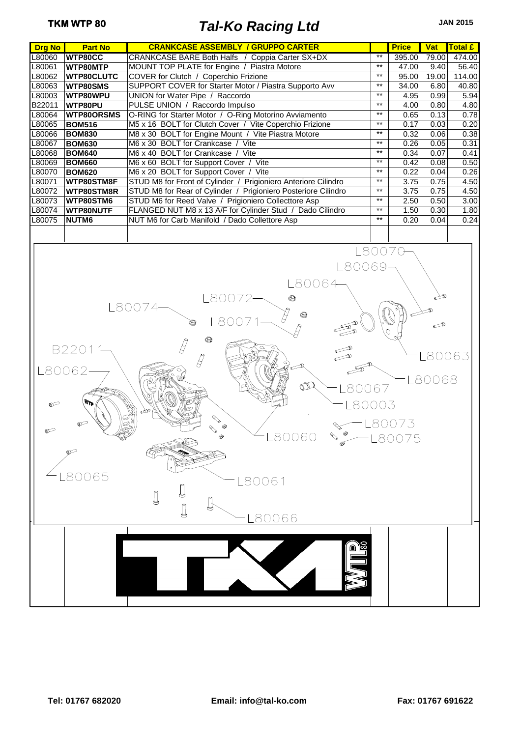| <b>Drg No</b>    | <b>Part No</b>                         | <b>CRANKCASE ASSEMBLY / GRUPPO CARTER</b>                                                                        |                 | <b>Price</b>     | <b>Vat</b>     | <b>Total £</b> |
|------------------|----------------------------------------|------------------------------------------------------------------------------------------------------------------|-----------------|------------------|----------------|----------------|
| L80060           | WTP80CC                                | CRANKCASE BARE Both Halfs / Coppia Carter SX+DX                                                                  | $**$            | 395.00           | 79.00          | 474.00         |
| L80061           | WTP80MTP                               | MOUNT TOP PLATE for Engine / Piastra Motore                                                                      | $***$           | 47.00            | 9.40           | 56.40          |
| L80062           | <b>WTP80CLUTC</b>                      | COVER for Clutch / Coperchio Frizione                                                                            | $^{\star\star}$ | 95.00            | 19.00          | 114.00         |
| L80063           | <b>WTP80SMS</b>                        | SUPPORT COVER for Starter Motor / Piastra Supporto Avv                                                           | $***$           | 34.00            | 6.80           | 40.80          |
|                  |                                        |                                                                                                                  | $***$           |                  |                | 5.94           |
| L80003           | WTP80WPU                               | UNION for Water Pipe / Raccordo                                                                                  | $***$           | 4.95             | 0.99           |                |
| B22011           | WTP80PU                                | PULSE UNION / Raccordo Impulso                                                                                   | $***$           | 4.00<br>0.65     | 0.80<br>0.13   | 4.80<br>0.78   |
| L80064<br>L80065 | <b>WTP80ORSMS</b>                      | O-RING for Starter Motor / O-Ring Motorino Avviamento<br>M5 x 16 BOLT for Clutch Cover / Vite Coperchio Frizione | $***$           | 0.17             | 0.03           | 0.20           |
| L80066           | <b>BOM516</b>                          |                                                                                                                  | $***$           |                  |                | 0.38           |
|                  | <b>BOM830</b>                          | M8 x 30 BOLT for Engine Mount / Vite Piastra Motore                                                              | $***$           | 0.32             | 0.06           |                |
| L80067           | <b>BOM630</b>                          | M6 x 30 BOLT for Crankcase / Vite<br>M6 x 40 BOLT for Crankcase / Vite                                           | $^{\star\star}$ | 0.26             | 0.05           | 0.31           |
| L80068           | <b>BOM640</b>                          |                                                                                                                  | $***$           | 0.34             | 0.07           | 0.41           |
| L80069           | <b>BOM660</b>                          | M6 x 60 BOLT for Support Cover / Vite                                                                            | $***$           | 0.42             | 0.08           | 0.50           |
| L80070           | <b>BOM620</b>                          | M6 x 20 BOLT for Support Cover / Vite                                                                            | $^{\star\star}$ | 0.22             | 0.04           | 0.26           |
| L80071           | WTP80STM8F                             | STUD M8 for Front of Cylinder / Prigioniero Anteriore Cilindro                                                   | $***$           | 3.75             | 0.75           | 4.50           |
| L80072           | WTP80STM8R                             | STUD M8 for Rear of Cylinder / Prigioniero Posteriore Cilindro                                                   | $***$           | 3.75             | 0.75           | 4.50           |
| L80073           | WTP80STM6                              | STUD M6 for Reed Valve / Prigioniero Collecttore Asp                                                             |                 | 2.50             | 0.50           | 3.00           |
| L80074           | <b>WTP80NUTF</b>                       | FLANGED NUT M8 x 13 A/F for Cylinder Stud / Dado Cilindro                                                        | $***$<br>$***$  | 1.50             | 0.30           | 1.80           |
| L80075           | NUTM6                                  | NUT M6 for Carb Manifold / Dado Collettore Asp                                                                   |                 | 0.20             | 0.04           | 0.24           |
|                  |                                        |                                                                                                                  |                 |                  |                |                |
| $\mathbb{C}$     | B22011<br>-80062-<br>ଙ<br>$\mathbb{P}$ | 8007<br>G<br>G<br>$\mathcal{G}$<br>$\mathbb{D}$<br>80067<br>ক্ষ<br>-L80060<br><b>B</b>                           | .80003          | -L80073<br>80075 | 80063<br>80068 |                |
|                  | 80065                                  | -80061<br>J<br>80066                                                                                             |                 |                  |                |                |
|                  |                                        |                                                                                                                  |                 |                  |                |                |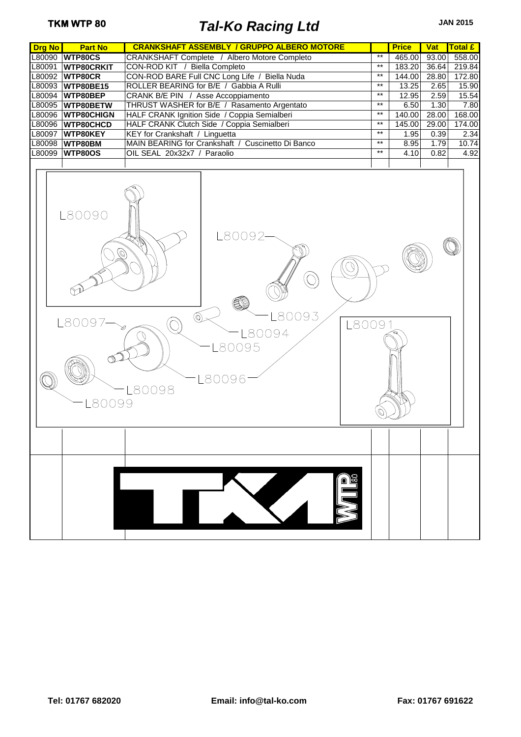| <b>Drg No</b><br><b>Part No</b> | <b>CRANKSHAFT ASSEMBLY / GRUPPO ALBERO MOTORE</b>                                       |                 | <b>Price</b> | <b>Vat</b> | Total £ |
|---------------------------------|-----------------------------------------------------------------------------------------|-----------------|--------------|------------|---------|
| L80090 WTP80CS                  | CRANKSHAFT Complete / Albero Motore Completo                                            | **              | 465.00       | 93.00      | 558.00  |
| L80091<br><b>WTP80CRKIT</b>     | CON-ROD KIT / Biella Completo                                                           | $**$            | 183.20       | 36.64      | 219.84  |
| L80092<br>WTP80CR               | CON-ROD BARE Full CNC Long Life / Biella Nuda                                           | $***$           | 144.00       | 28.80      | 172.80  |
| L80093 WTP80BE15                | ROLLER BEARING for B/E / Gabbia A Rulli                                                 | $***$           | 13.25        | 2.65       | 15.90   |
| L80094 WTP80BEP                 | CRANK B/E PIN / Asse Accoppiamento                                                      | $***$           | 12.95        | 2.59       | 15.54   |
| L80095   WTP80BETW              | THRUST WASHER for B/E / Rasamento Argentato                                             | $***$           | 6.50         | 1.30       | 7.80    |
| L80096 WTP80CHIGN               | HALF CRANK Ignition Side / Coppia Semialberi                                            | $***$           | 140.00       | 28.00      | 168.00  |
| L80096   WTP80CHCD              | HALF CRANK Clutch Side / Coppia Semialberi                                              | $***$           | 145.00       | 29.00      | 174.00  |
| L80097 WTP80KEY                 | KEY for Crankshaft / Linguetta                                                          | $***$           | 1.95         | 0.39       | 2.34    |
| L80098 WTP80BM                  | MAIN BEARING for Crankshaft / Cuscinetto Di Banco                                       | $^{\star\star}$ | 8.95         | 1.79       | 10.74   |
| L80099 WTP80OS                  | OIL SEAL 20x32x7 / Paraolio                                                             | $***$           | 4.10         | 0.82       | 4.92    |
|                                 |                                                                                         |                 |              |            |         |
| L80090<br>L80097<br>80099       | L80092-<br>$\bigcirc$<br>8<br>80093<br>⊚<br>L80091<br>80094<br>80095<br>L80096<br>80098 |                 |              |            |         |
|                                 |                                                                                         |                 |              |            |         |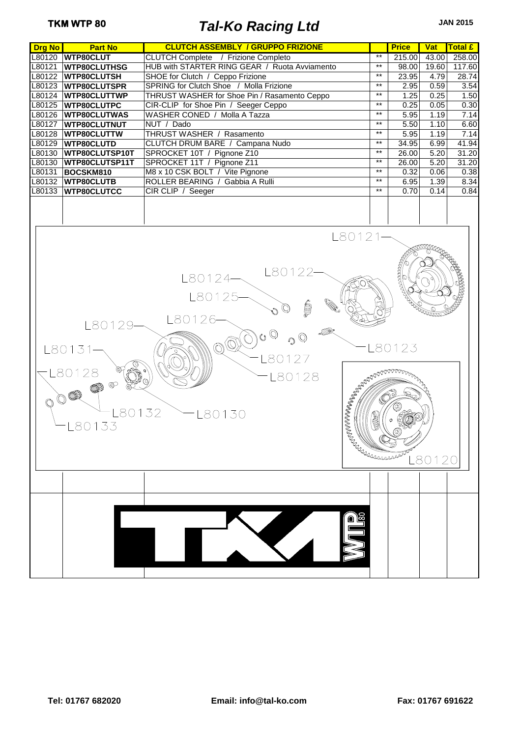| <b>Drg No</b><br><b>Part No</b>                    | <b>CLUTCH ASSEMBLY / GRUPPO FRIZIONE</b>                                                                                                                                            |                                                                                                                                                                                                                                                                                                                                                     | <b>Price</b>                                                                                  | <b>Vat</b>                                                                                                               | <b>Total £</b>                                                                           |
|----------------------------------------------------|-------------------------------------------------------------------------------------------------------------------------------------------------------------------------------------|-----------------------------------------------------------------------------------------------------------------------------------------------------------------------------------------------------------------------------------------------------------------------------------------------------------------------------------------------------|-----------------------------------------------------------------------------------------------|--------------------------------------------------------------------------------------------------------------------------|------------------------------------------------------------------------------------------|
| L80120 WTP80CLUT                                   | CLUTCH Complete / Frizione Completo                                                                                                                                                 | $**$                                                                                                                                                                                                                                                                                                                                                | 215.00                                                                                        | 43.00                                                                                                                    | 258.00                                                                                   |
| <b>WTP80CLUTHSG</b><br>L80121                      | HUB with STARTER RING GEAR / Ruota Avviamento                                                                                                                                       | $\star\star$                                                                                                                                                                                                                                                                                                                                        | 98.00                                                                                         | 19.60                                                                                                                    | 117.60                                                                                   |
| WTP80CLUTSH                                        | SHOE for Clutch / Ceppo Frizione                                                                                                                                                    | $^{\star\star}$                                                                                                                                                                                                                                                                                                                                     | 23.95                                                                                         | 4.79                                                                                                                     | 28.74                                                                                    |
| L80123<br>WTP80CLUTSPR                             | SPRING for Clutch Shoe / Molla Frizione                                                                                                                                             | $^{\star\star}$                                                                                                                                                                                                                                                                                                                                     | 2.95                                                                                          | 0.59                                                                                                                     | 3.54                                                                                     |
| WTP80CLUTTWP<br>L80124                             |                                                                                                                                                                                     | $***$                                                                                                                                                                                                                                                                                                                                               | 1.25                                                                                          | 0.25                                                                                                                     | 1.50                                                                                     |
| WTP80CLUTPC                                        | CIR-CLIP for Shoe Pin / Seeger Ceppo                                                                                                                                                | $***$                                                                                                                                                                                                                                                                                                                                               |                                                                                               |                                                                                                                          | 0.30                                                                                     |
|                                                    |                                                                                                                                                                                     | $***$                                                                                                                                                                                                                                                                                                                                               |                                                                                               |                                                                                                                          | 7.14                                                                                     |
|                                                    |                                                                                                                                                                                     |                                                                                                                                                                                                                                                                                                                                                     |                                                                                               |                                                                                                                          | 6.60                                                                                     |
|                                                    |                                                                                                                                                                                     |                                                                                                                                                                                                                                                                                                                                                     |                                                                                               |                                                                                                                          | 7.14                                                                                     |
|                                                    |                                                                                                                                                                                     |                                                                                                                                                                                                                                                                                                                                                     |                                                                                               |                                                                                                                          | 41.94                                                                                    |
|                                                    |                                                                                                                                                                                     |                                                                                                                                                                                                                                                                                                                                                     |                                                                                               |                                                                                                                          | 31.20                                                                                    |
|                                                    |                                                                                                                                                                                     |                                                                                                                                                                                                                                                                                                                                                     |                                                                                               |                                                                                                                          | 31.20                                                                                    |
|                                                    |                                                                                                                                                                                     |                                                                                                                                                                                                                                                                                                                                                     |                                                                                               |                                                                                                                          | 0.38                                                                                     |
|                                                    |                                                                                                                                                                                     |                                                                                                                                                                                                                                                                                                                                                     |                                                                                               |                                                                                                                          | 8.34                                                                                     |
|                                                    |                                                                                                                                                                                     |                                                                                                                                                                                                                                                                                                                                                     |                                                                                               |                                                                                                                          | 0.84                                                                                     |
|                                                    |                                                                                                                                                                                     |                                                                                                                                                                                                                                                                                                                                                     |                                                                                               |                                                                                                                          |                                                                                          |
|                                                    |                                                                                                                                                                                     |                                                                                                                                                                                                                                                                                                                                                     |                                                                                               |                                                                                                                          |                                                                                          |
|                                                    |                                                                                                                                                                                     |                                                                                                                                                                                                                                                                                                                                                     |                                                                                               |                                                                                                                          |                                                                                          |
| L80129-<br>L80131<br>80128<br>$\bigcirc$<br>-80133 | L80125-<br>Í<br>L80126-<br>$\circledcirc$<br>$\mathbf{C}$<br>$\langle \mathbb{O} \rangle$<br>-80127<br>80128<br><b>ARARABARA REAL</b><br>80130                                      |                                                                                                                                                                                                                                                                                                                                                     |                                                                                               |                                                                                                                          |                                                                                          |
|                                                    |                                                                                                                                                                                     |                                                                                                                                                                                                                                                                                                                                                     |                                                                                               |                                                                                                                          |                                                                                          |
| L80125<br>L80132                                   | L80126 WTP80CLUTWAS<br><b>WTP80CLUTNUT</b><br>L80128 WTP80CLUTTW<br>WTP80CLUTD<br>WTP80CLUTSP10T<br>L80130   WTP80CLUTSP11T<br>BOCSKM810<br><b>WTP80CLUTB</b><br>L80133 WTP80CLUTCC | THRUST WASHER for Shoe Pin / Rasamento Ceppo<br>WASHER CONED / Molla A Tazza<br>NUT / Dado<br>THRUST WASHER / Rasamento<br>CLUTCH DRUM BARE / Campana Nudo<br>SPROCKET 10T / Pignone Z10<br>SPROCKET 11T / Pignone Z11<br>M8 x 10 CSK BOLT / Vite Pignone<br>ROLLER BEARING / Gabbia A Rulli<br>CIR CLIP / Seeger<br>L80122-<br>$L80124 -$<br>80132 | $***$<br>$***$<br>$***$<br>$***$<br>$***$<br>$\star\star$<br>$\star\star$<br>$***$<br>L80121- | 0.25<br>5.95<br>5.50<br>5.95<br>34.95<br>26.00<br>26.00<br>0.32<br>6.95<br>0.70<br>80123<br><b>CONTRACTOR CONTRACTOR</b> | 0.05<br>1.19<br>1.10<br>1.19<br>6.99<br>5.20<br>5.20<br>0.06<br>1.39<br>0.14<br>.80<br>2 |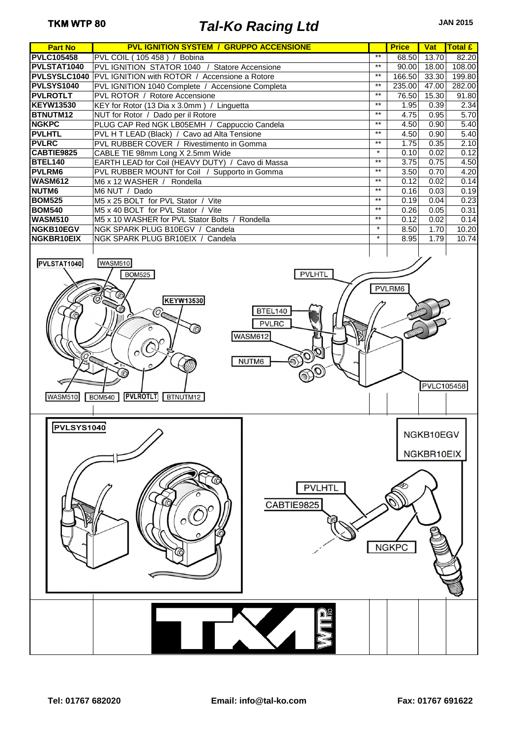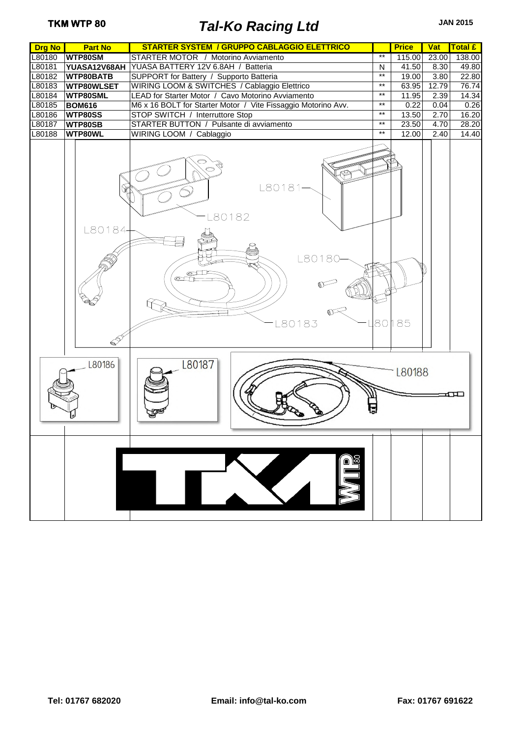| <b>Drg No</b> | <b>Part No</b>           | <b>STARTER SYSTEM / GRUPPO CABLAGGIO ELETTRICO</b>            |              | <b>Price</b> | <b>Vat</b> | <b>Total £</b> |
|---------------|--------------------------|---------------------------------------------------------------|--------------|--------------|------------|----------------|
| L80180        | WTP80SM                  | STARTER MOTOR / Motorino Avviamento                           | **           | 115.00       | 23.00      | 138.00         |
| L80181        | YUASA12V68AH             | YUASA BATTERY 12V 6.8AH / Batteria                            | $\mathsf{N}$ | 41.50        | 8.30       | 49.80          |
| L80182        | <b>WTP80BATB</b>         | SUPPORT for Battery / Supporto Batteria                       | $**$         | 19.00        | 3.80       | 22.80          |
| L80183        | <b>WTP80WLSET</b>        | WIRING LOOM & SWITCHES / Cablaggio Elettrico                  | $***$        | 63.95        | 12.79      | 76.74          |
| L80184        | WTP80SML                 | LEAD for Starter Motor / Cavo Motorino Avviamento             | $***$        | 11.95        | 2.39       | 14.34          |
| L80185        | <b>BOM616</b>            | M6 x 16 BOLT for Starter Motor / Vite Fissaggio Motorino Avv. | $***$        | 0.22         | 0.04       | 0.26           |
| L80186        | WTP80SS                  | STOP SWITCH / Interruttore Stop                               | $***$        | 13.50        | 2.70       | 16.20          |
| L80187        | WTP80SB                  | STARTER BUTTON / Pulsante di avviamento                       | $\star\star$ | 23.50        | 4.70       | 28.20          |
| L80188        | WTP80WL                  | WIRING LOOM / Cablaggio                                       | $***$        | 12.00        | 2.40       | 14.40          |
|               | L80184-<br>$\mathcal{S}$ | L80181-<br>80182<br>L8018C<br>O<br>ල⊿<br>80183                |              | 80 185       |            |                |
|               | L80186                   | L80187<br><u>it d</u>                                         |              | L80188       |            |                |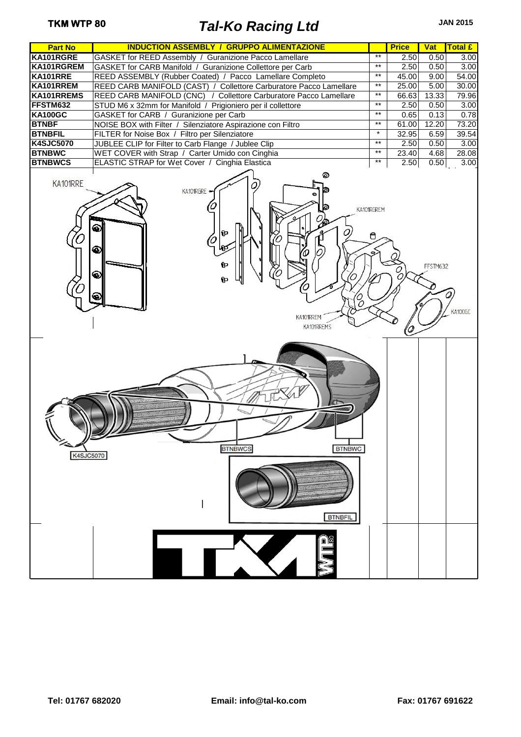| <b>Part No</b>   | <b>INDUCTION ASSEMBLY / GRUPPO ALIMENTAZIONE</b>                                                         |                 | <b>Price</b> | Vat      | <b>Total £</b>            |
|------------------|----------------------------------------------------------------------------------------------------------|-----------------|--------------|----------|---------------------------|
| KA101RGRE        | GASKET for REED Assembly / Guranizione Pacco Lamellare                                                   | $*$             | 2.50         | 0.50     | 3.00                      |
| KA101RGREM       | GASKET for CARB Manifold / Guranizione Collettore per Carb                                               | $\star\star$    | 2.50         | 0.50     | 3.00                      |
| KA101RRE         | REED ASSEMBLY (Rubber Coated) / Pacco Lamellare Completo                                                 | $***$           | 45.00        | 9.00     | 54.00                     |
| KA101RREM        | REED CARB MANIFOLD (CAST) / Collettore Carburatore Pacco Lamellare                                       | $***$           | 25.00        | 5.00     | 30.00                     |
| KA101RREMS       | REED CARB MANIFOLD (CNC) / Collettore Carburatore Pacco Lamellare                                        | $\star\star$    | 66.63        | 13.33    | 79.96                     |
| FFSTM632         | STUD M6 x 32mm for Manifold / Prigioniero per il collettore                                              | $\star\star$    | 2.50         | 0.50     | 3.00                      |
| <b>KA100GC</b>   | GASKET for CARB / Guranizione per Carb                                                                   | $\star\star$    | 0.65         | 0.13     | 0.78                      |
| <b>BTNBF</b>     | NOISE BOX with Filter / Silenziatore Aspirazione con Filtro                                              | $\star\star$    | 61.00        | 12.20    | 73.20                     |
| <b>BTNBFIL</b>   | FILTER for Noise Box / Filtro per Silenziatore                                                           | $\star$         | 32.95        | 6.59     | 39.54                     |
| <b>K4SJC5070</b> | JUBLEE CLIP for Filter to Carb Flange / Jublee Clip                                                      | $\star\star$    | 2.50         | 0.50     | 3.00                      |
| <b>BTNBWC</b>    | WET COVER with Strap / Carter Umido con Cinghia                                                          | $\star\star$    | 23.40        | 4.68     | 28.08                     |
| <b>BTNBWCS</b>   | ELASTIC STRAP for Wet Cover / Cinghia Elastica                                                           | $^{\star\star}$ | 2.50         | 0.50     | 3.00                      |
| U                | KA101RGRE<br>୍ବା<br>一<br>€<br>0P<br>O<br>Ψ<br>◉<br>ъ<br>¢<br>⊛<br>œ<br>o<br>O<br>KA101RREM<br>KA101RREMS | KA101RGREM<br>Û |              | FFSTM632 | $\overline{a}$<br>KA100GC |
| <b>K4SJC5070</b> | <b>BTNBWCS</b><br><b>BTNBWC</b><br><b>BTNBFIL</b>                                                        |                 |              |          |                           |
|                  |                                                                                                          |                 |              |          |                           |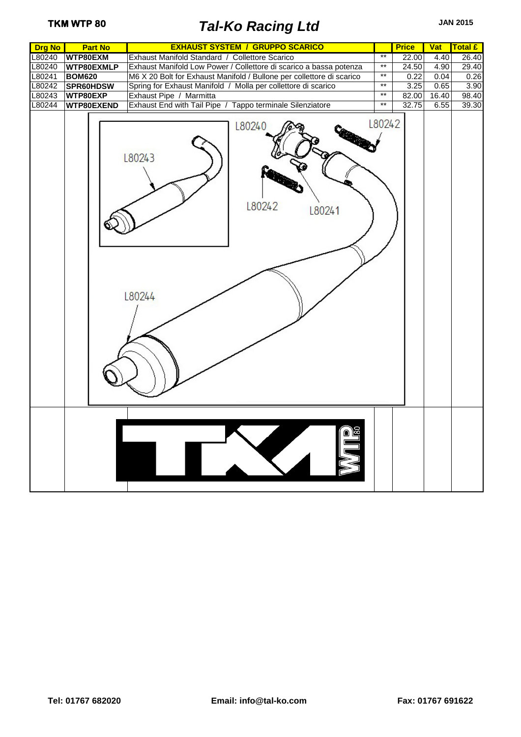| <b>Drg No</b><br><b>Part No</b> | <b>EXHAUST SYSTEM / GRUPPO SCARICO</b>                                |                                                                                   | <b>Price</b> | <b>Vat</b> | <b>Total £</b>                                |
|---------------------------------|-----------------------------------------------------------------------|-----------------------------------------------------------------------------------|--------------|------------|-----------------------------------------------|
|                                 | Exhaust Manifold Standard / Collettore Scarico                        | $***$                                                                             | 22.00        |            | 26.40                                         |
| WTP80EXMLP                      | Exhaust Manifold Low Power / Collettore di scarico a bassa potenza    | $**$                                                                              | 24.50        |            | 29.40                                         |
| <b>BOM620</b>                   | M6 X 20 Bolt for Exhaust Manifold / Bullone per collettore di scarico | $\star\star$                                                                      | 0.22         |            | 0.26                                          |
|                                 |                                                                       | $**$                                                                              | 3.25         |            | 3.90                                          |
| WTP80EXP                        | Exhaust Pipe / Marmitta                                               | $*$                                                                               | 82.00        |            | 98.40                                         |
| WTP80EXEND                      | Exhaust End with Tail Pipe / Tappo terminale Silenziatore             | $*$                                                                               | 32.75        |            | 39.30                                         |
|                                 | L80240<br>L80242<br>L80241                                            |                                                                                   |              |            |                                               |
|                                 |                                                                       |                                                                                   |              |            |                                               |
|                                 | WTP80EXM<br><b>SPR60HDSW</b>                                          | Spring for Exhaust Manifold / Molla per collettore di scarico<br>L80243<br>L80244 |              | L80242     | 4.40<br>4.90<br>0.04<br>0.65<br>16.40<br>6.55 |